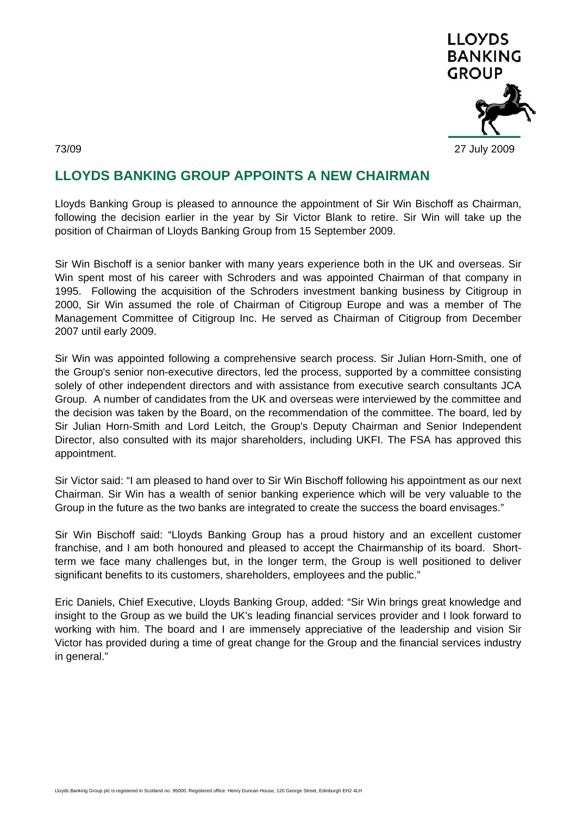

# **LLOYDS BANKING GROUP APPOINTS A NEW CHAIRMAN**

Lloyds Banking Group is pleased to announce the appointment of Sir Win Bischoff as Chairman, following the decision earlier in the year by Sir Victor Blank to retire. Sir Win will take up the position of Chairman of Lloyds Banking Group from 15 September 2009.

Sir Win Bischoff is a senior banker with many years experience both in the UK and overseas. Sir Win spent most of his career with Schroders and was appointed Chairman of that company in 1995. Following the acquisition of the Schroders investment banking business by Citigroup in 2000, Sir Win assumed the role of Chairman of Citigroup Europe and was a member of The Management Committee of Citigroup Inc. He served as Chairman of Citigroup from December 2007 until early 2009.

Sir Win was appointed following a comprehensive search process. Sir Julian Horn-Smith, one of the Group's senior non-executive directors, led the process, supported by a committee consisting solely of other independent directors and with assistance from executive search consultants JCA Group. A number of candidates from the UK and overseas were interviewed by the committee and the decision was taken by the Board, on the recommendation of the committee. The board, led by Sir Julian Horn-Smith and Lord Leitch, the Group's Deputy Chairman and Senior Independent Director, also consulted with its major shareholders, including UKFI. The FSA has approved this appointment.

Sir Victor said: "I am pleased to hand over to Sir Win Bischoff following his appointment as our next Chairman. Sir Win has a wealth of senior banking experience which will be very valuable to the Group in the future as the two banks are integrated to create the success the board envisages."

Sir Win Bischoff said: "Lloyds Banking Group has a proud history and an excellent customer franchise, and I am both honoured and pleased to accept the Chairmanship of its board. Shortterm we face many challenges but, in the longer term, the Group is well positioned to deliver significant benefits to its customers, shareholders, employees and the public."

Eric Daniels, Chief Executive, Lloyds Banking Group, added: "Sir Win brings great knowledge and insight to the Group as we build the UK's leading financial services provider and I look forward to working with him. The board and I are immensely appreciative of the leadership and vision Sir Victor has provided during a time of great change for the Group and the financial services industry in general."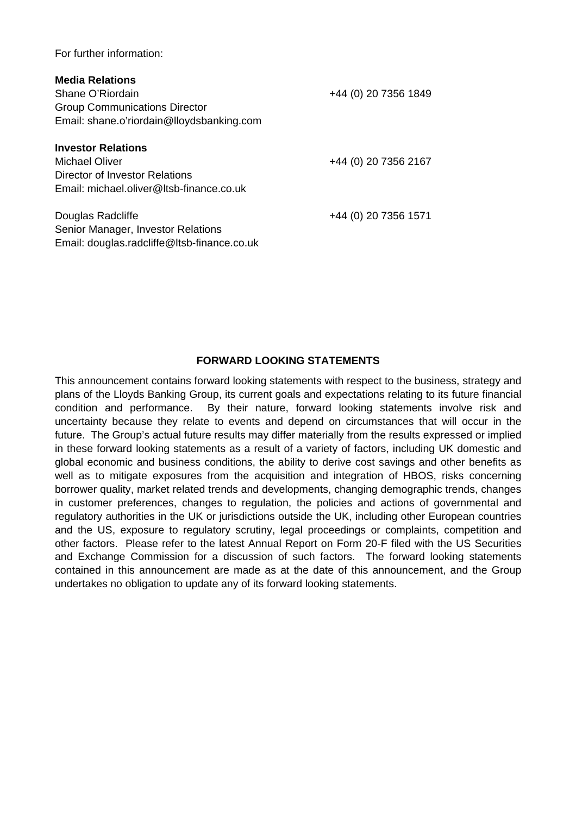For further information:

| <b>Media Relations</b><br>Shane O'Riordain<br><b>Group Communications Director</b><br>Email: shane.o'riordain@lloydsbanking.com | +44 (0) 20 7356 1849 |
|---------------------------------------------------------------------------------------------------------------------------------|----------------------|
| <b>Investor Relations</b><br>Michael Oliver<br>Director of Investor Relations<br>Email: michael.oliver@Itsb-finance.co.uk       | +44 (0) 20 7356 2167 |
| Douglas Radcliffe<br>Senior Manager, Investor Relations<br>Email: douglas.radcliffe@ltsb-finance.co.uk                          | +44 (0) 20 7356 1571 |

## **FORWARD LOOKING STATEMENTS**

This announcement contains forward looking statements with respect to the business, strategy and plans of the Lloyds Banking Group, its current goals and expectations relating to its future financial condition and performance. By their nature, forward looking statements involve risk and uncertainty because they relate to events and depend on circumstances that will occur in the future. The Group's actual future results may differ materially from the results expressed or implied in these forward looking statements as a result of a variety of factors, including UK domestic and global economic and business conditions, the ability to derive cost savings and other benefits as well as to mitigate exposures from the acquisition and integration of HBOS, risks concerning borrower quality, market related trends and developments, changing demographic trends, changes in customer preferences, changes to regulation, the policies and actions of governmental and regulatory authorities in the UK or jurisdictions outside the UK, including other European countries and the US, exposure to regulatory scrutiny, legal proceedings or complaints, competition and other factors. Please refer to the latest Annual Report on Form 20-F filed with the US Securities and Exchange Commission for a discussion of such factors. The forward looking statements contained in this announcement are made as at the date of this announcement, and the Group undertakes no obligation to update any of its forward looking statements.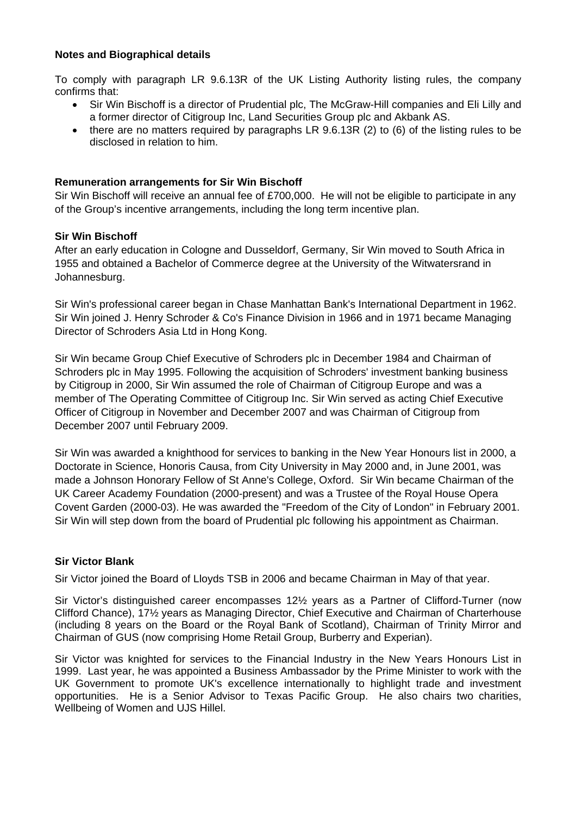## **Notes and Biographical details**

To comply with paragraph LR 9.6.13R of the UK Listing Authority listing rules, the company confirms that:

- Sir Win Bischoff is a director of Prudential plc, The McGraw-Hill companies and Eli Lilly and a former director of Citigroup Inc, Land Securities Group plc and Akbank AS.
- there are no matters required by paragraphs LR  $9.6.13R$  (2) to (6) of the listing rules to be disclosed in relation to him.

## **Remuneration arrangements for Sir Win Bischoff**

Sir Win Bischoff will receive an annual fee of £700,000. He will not be eligible to participate in any of the Group's incentive arrangements, including the long term incentive plan.

## **Sir Win Bischoff**

After an early education in Cologne and Dusseldorf, Germany, Sir Win moved to South Africa in 1955 and obtained a Bachelor of Commerce degree at the University of the Witwatersrand in Johannesburg.

Sir Win's professional career began in Chase Manhattan Bank's International Department in 1962. Sir Win joined J. Henry Schroder & Co's Finance Division in 1966 and in 1971 became Managing Director of Schroders Asia Ltd in Hong Kong.

Sir Win became Group Chief Executive of Schroders plc in December 1984 and Chairman of Schroders plc in May 1995. Following the acquisition of Schroders' investment banking business by Citigroup in 2000, Sir Win assumed the role of Chairman of Citigroup Europe and was a member of The Operating Committee of Citigroup Inc. Sir Win served as acting Chief Executive Officer of Citigroup in November and December 2007 and was Chairman of Citigroup from December 2007 until February 2009.

Sir Win was awarded a knighthood for services to banking in the New Year Honours list in 2000, a Doctorate in Science, Honoris Causa, from City University in May 2000 and, in June 2001, was made a Johnson Honorary Fellow of St Anne's College, Oxford. Sir Win became Chairman of the UK Career Academy Foundation (2000-present) and was a Trustee of the Royal House Opera Covent Garden (2000-03). He was awarded the "Freedom of the City of London" in February 2001. Sir Win will step down from the board of Prudential plc following his appointment as Chairman.

## **Sir Victor Blank**

Sir Victor joined the Board of Lloyds TSB in 2006 and became Chairman in May of that year.

Sir Victor's distinguished career encompasses 12½ years as a Partner of Clifford-Turner (now Clifford Chance), 17½ years as Managing Director, Chief Executive and Chairman of Charterhouse (including 8 years on the Board or the Royal Bank of Scotland), Chairman of Trinity Mirror and Chairman of GUS (now comprising Home Retail Group, Burberry and Experian).

Sir Victor was knighted for services to the Financial Industry in the New Years Honours List in 1999. Last year, he was appointed a Business Ambassador by the Prime Minister to work with the UK Government to promote UK's excellence internationally to highlight trade and investment opportunities. He is a Senior Advisor to Texas Pacific Group. He also chairs two charities, Wellbeing of Women and UJS Hillel.